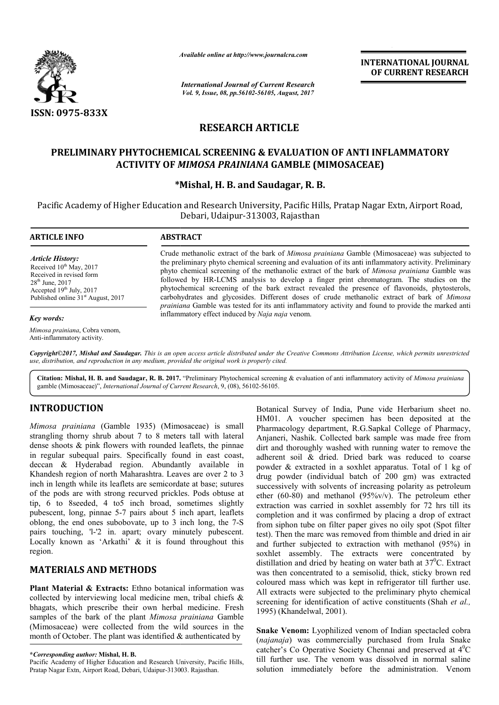

*Available online at http://www.journal http://www.journalcra.com*

*International Journal of Current Research Vol. 9, Issue, 08, pp.56102-56105, August, 2017* **INTERNATIONAL JOURNAL OF CURRENT RESEARCH** 

# **RESEARCH ARTICLE**

## **PRELIMINARY PHYTOCHEMICAL SCREENING & EVALUATION OF ANTI INFLAMMATORY & EVALUATION OF ANTI INFLAMMATORY (MIMOSACEAE)ACTIVITY OF** *MIMOSA PRAINIANA* **GAMBLE (MIMOSACEAE)**

## **\*Mishal \*Mishal, H. B. and Saudagar, R. B.**

Pacific Academy of Higher Education and Research University, Pacific Hills, Pratap Nagar Extn, Airport Road, Debari, Udaipur-313003, Rajasthan

| <b>ARTICLE INFO</b>                                                                                                                                                                                       | <b>ABSTRACT</b>                                                                                                                                                                                                                                                                                                                                                                                                                                                                                                                                                                                                                                                                                                                  |  |  |
|-----------------------------------------------------------------------------------------------------------------------------------------------------------------------------------------------------------|----------------------------------------------------------------------------------------------------------------------------------------------------------------------------------------------------------------------------------------------------------------------------------------------------------------------------------------------------------------------------------------------------------------------------------------------------------------------------------------------------------------------------------------------------------------------------------------------------------------------------------------------------------------------------------------------------------------------------------|--|--|
| <i><b>Article History:</b></i><br>Received $10^{th}$ May, 2017<br>Received in revised form<br>$28^{\text{th}}$ June, 2017<br>Accepted $19th$ July, 2017<br>Published online 31 <sup>st</sup> August, 2017 | Crude methanolic extract of the bark of Mimosa prainiana Gamble (Mimosaceae) was subjected to<br>the preliminary phyto chemical screening and evaluation of its anti-inflammatory activity. Preliminary<br>phyto chemical screening of the methanolic extract of the bark of <i>Mimosa prainiana</i> Gamble was<br>followed by HR-LCMS analysis to develop a finger print chromatogram. The studies on the<br>phytochemical screening of the bark extract revealed the presence of flavonoids, phytosterols,<br>carbohydrates and glycosides. Different doses of crude methanolic extract of bark of <i>Mimosa</i><br><i>prainiana</i> Gamble was tested for its anti inflammatory activity and found to provide the marked anti |  |  |
| $K$ an mondor                                                                                                                                                                                             | inflammatory effect induced by Naja naja venom.                                                                                                                                                                                                                                                                                                                                                                                                                                                                                                                                                                                                                                                                                  |  |  |

*Key words:*

*Mimosa prainiana*, Cobra venom, Anti-inflammatory activity.

*Copyright©2017, Mishal and Saudagar. This is an open access article distributed under the Creative Commons Att Attribution License, which ribution permits unrestricted use, distribution, and reproduction in any medium, provided the original work is properly cited.*

Citation: Mishal, H. B. and Saudagar, R. B. 2017. "Preliminary Phytochemical screening & evaluation of anti inflammatory activity of *Mimosa prainiana* gamble (Mimosaceae)", *International Journal of Current Research* , 9, (08), 56102-56105.

# **INTRODUCTION**

Mimosa prainiana (Gamble 1935) (Mimosaceae) is small strangling thorny shrub about 7 to 8 meters tall with lateral dense shoots & pink flowers with rounded leaflets, the pinnae in regular subequal pairs. Specifically found in east coast, deccan & Hyderabad region. Abundantly available in Khandesh region of north Maharashtra. Leaves are over 2 to 3 inch in length while its leaflets are semicordate at base; sutures of the pods are with strong recurved prickles. Pods obtuse at tip, 6 to 8seeded, 4 to5 inch broad, sometimes slightly pubescent, long, pinnae 5-7 pairs about 5 inch apart, leaflets oblong, the end ones subobovate, up to 3 inch long, the 7 7-S pairs touching, 'l-'2 in. apart; ovary minutely pubescent. Locally known as 'Arkathi' & it is found throughout this region.

## **MATERIALS AND METHODS**

**Plant Material & Extracts:** Ethno botanical information was collected by interviewing local medicine men, tribal chiefs & bhagats, which prescribe their own herbal medicine. Fresh samples of the bark of the plant *Mimosa prainiana* Gamble (Mimosaceae) were collected from the wild sources in the month of October. The plant was identified  $\&$  authenticated by llected from the wild sources<br>blant was identified & authentica<br>hal, H. B.<br>ducation and Research University, Paci<br>and, Debari, Udaipur-313003. Rajasthan.

Botanical Survey of India, Pune vide Herbarium sheet no. HM01. A voucher specimen has been deposited at the Pharmacology department, R.G.Sapkal College of Pharmacy, Anjaneri, Nashik. Collected bark sample was made free from dirt and thoroughly washed with running water to remove the adherent soil & dried. Dried bark was reduced to coarse powder & extracted in a soxhlet apparatus. Total of 1 kg of drug powder (individual batch of 200 gm) was extracted successively with solvents of increasing polarity as petroleum ether (60-80) and methanol (95%v/v). The petroleum ether extraction was carried in soxhlet assembly for 72 hrs till its completion and it was confirmed by placing a drop of extract drug powder (individual batch of 200 gm) was extracted successively with solvents of increasing polarity as petroleum ether extraction was carried in soxhlet assembly for 72 hrs till its completion and it was confirmed by test). Then the marc was removed from thimble and dried in air test). Then the marc was removed from thimble and dried in air and further subjected to extraction with methanol (95%) in soxhlet assembly. The extracts were concentrated by soxhlet assembly. The extracts were concentrated by distillation and dried by heating on water bath at  $37^{\circ}$ C. Extract was then concentrated to a semisolid, thick, sticky brown red coloured mass which was kept in refrigerator till further use. All extracts were subjected to the preliminary phyto chemical screening for identification of active constituents (Shah et al., 1995) (Khandelwal, 2001). incel Survey of India, Pune vide Herbarium sheet no.<br>
01. A voucher specimen has been deposited at the<br>
macology department, R.G.Sapkal College of Pharmacy,<br>
nneri, Nashik. Collected bark sample was made free from<br>
and tho concentrated to a semisolid, thick, sticky brown red mass which was kept in refrigerator till further use.<br>tts were subjected to the preliminary phyto chemical for identification of active constituents (Shah *et al.*, **INTERNATIONAL JOURNAL OF CURRENT RESEARCH CONTRATION CONTRATION CONTRATION CONTRATION CONTRATION (THE AND SACT AND THE STATE THAND AND A COMPT AND THAND A COMPT TO THE UNION AND THE UNION THE STATE THAN AND THE STATE THA** 

**Snake Venom:** Lyophilized venom of Indian spectacled cobra (*najanaja*) was commercially purchased from Irula Snake catcher's Co Operative Society Chennai and preserved at 4 C till further use. The venom was dissolved in normal saline solution immediately before the administration. Venom spectacled commercially purchased from Irula Snal<br>prative Society Chennai and preserved at  $4^0$ 

**<sup>\*</sup>***Corresponding author:* **Mishal, H. B.** 

Pacific Academy of Higher Education and Research University, Pacific Hills, Pratap Nagar Extn, Airport Road, Debari, Udaipur-313003. Rajasthan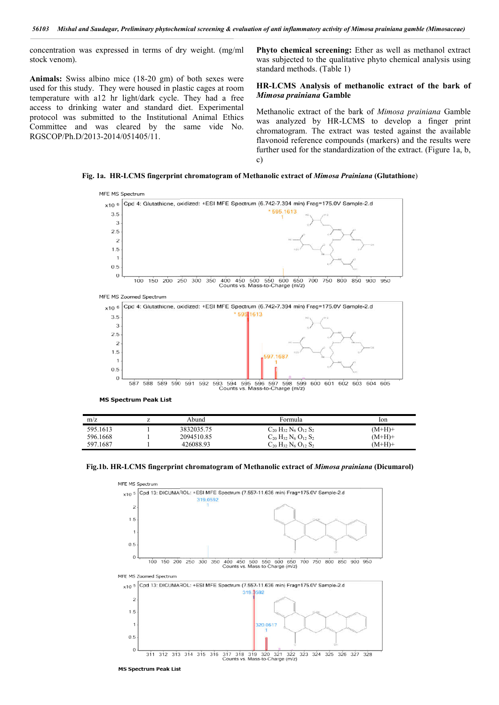concentration was expressed in terms of dry weight. (mg/ml stock venom).

**Animals:** Swiss albino mice (18-20 gm) of both sexes were used for this study. They were housed in plastic cages at room temperature with a12 hr light/dark cycle. They had a free access to drinking water and standard diet. Experimental protocol was submitted to the Institutional Animal Ethics Committee and was cleared by the same vide No. RGSCOP/Ph.D/2013-2014/051405/11.

External screening: Ether as well as methanol extract<br>
20 gm) of both sexes were<br>
housed in plastic cages at room<br> *Adark* cycle. They had a free **HR-LCMS** Analysis of methanolic extract of the bark of<br> *Adark* cycle. They Phyto chemical screening: Ether as well as methanol extract was subjected to the qualitative phyto chemical analysis using standard methods. (Table 1)

#### HR-LCMS Analysis of methanolic extract of the bark of *Mimosa prainiana* **Gamble**

Methanolic extract of the bark of *Mimosa prainiana* Gamble was analyzed by HR-LCMS to develop a finger print chromatogram. The extract was tested against the available flavonoid reference compounds (markers) and the results were further used for the standardization of the extract. (Figure 1a, b, c) LCMS to develop a finger print<br>act was tested against the available<br>bounds (markers) and the results were<br>ardization of the extract. (Figure 1a, b,

**Fig. 1a. HR-LCMS fingerprint chromatogram of Methanolic extract of**  *Mimosa Prainiana Mimosa*  **(Glutathione**)



**MS Spectrum Peak List** 

| m/z      | Abund      | Formula                                                                | lon      |
|----------|------------|------------------------------------------------------------------------|----------|
| 595.1613 | 3832035.75 | $C_{20}$ H <sub>32</sub> N <sub>6</sub> O <sub>12</sub> S <sub>2</sub> | (M+H)+   |
| 596.1668 | 2094510.85 | $C_{20}$ H <sub>32</sub> N <sub>6</sub> O <sub>12</sub> S <sub>2</sub> | $(M+H)+$ |
| 597.1687 | 426088.93  | $C_{20}$ H <sub>32</sub> N <sub>6</sub> O <sub>12</sub> S <sub>2</sub> | (M+H)+   |

Fig.1b. **HR-LCMS fingerprint chromatogram of Methanolic extract of** *Mimosa prainiana* **(Dicumarol)** 



**MS Spectrum Peak List**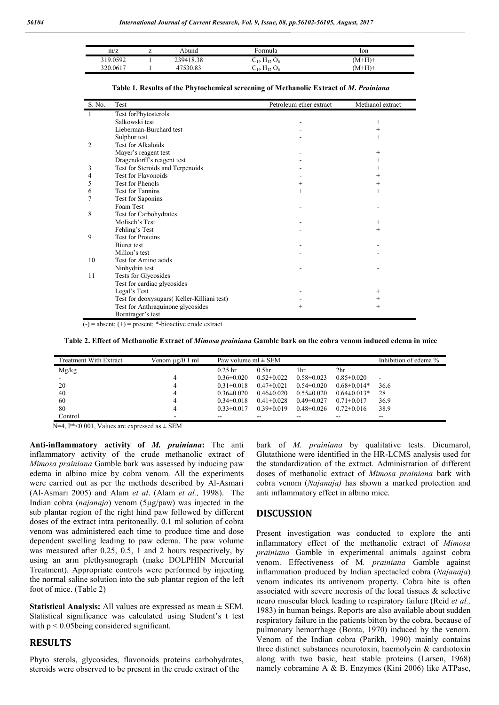| m/z      | ▵ | Abund     | ∙ormula                                  | lon      |
|----------|---|-----------|------------------------------------------|----------|
| 319.0592 |   | 239418.38 | $\rm{C}_{19}$ $\rm{H}_{12}$ $\rm{O}_{6}$ | (M+H)+   |
| 320.0617 |   |           | $-19 \text{ H}_{12} \text{U}_6$          | $M+H$ )+ |

| S. No. | Test                                       | Petroleum ether extract | Methanol extract   |
|--------|--------------------------------------------|-------------------------|--------------------|
| 1      | Test forPhytosterols                       |                         |                    |
|        | Salkowski test                             |                         | $^{+}$             |
|        | Lieberman-Burchard test                    |                         | $^+$               |
|        | Sulphur test                               |                         | $^{+}$             |
| 2      | Test for Alkaloids                         |                         |                    |
|        | Mayer's reagent test                       |                         | $^{+}$             |
|        | Dragendorff's reagent test                 |                         | $^+$               |
| 3      | Test for Steroids and Terpenoids           |                         | $\overline{+}$     |
| 4      | <b>Test for Flavonoids</b>                 |                         | $^{+}$             |
| 5      | <b>Test for Phenols</b>                    | $\overline{+}$          | $^+$               |
| 6      | Test for Tannins                           | $^{+}$                  | $^{+}$             |
| 7      | Test for Saponins                          |                         |                    |
|        | Foam Test                                  |                         |                    |
| 8      | Test for Carbohydrates                     |                         |                    |
|        | Molisch's Test                             |                         | $^{+}$             |
|        | Fehling's Test                             |                         | $^{+}$             |
| 9      | <b>Test for Proteins</b>                   |                         |                    |
|        | Biuret test                                |                         |                    |
|        | Millon's test                              |                         |                    |
| 10     | Test for Amino acids                       |                         |                    |
|        | Ninhydrin test                             |                         |                    |
| 11     | Tests for Glycosides                       |                         |                    |
|        | Test for cardiac glycosides                |                         |                    |
|        | Legal's Test                               |                         | $^{+}$             |
|        | Test for deoxysugars(Keller-Killiani test) |                         | $\hspace{0.1mm} +$ |
|        | Test for Anthraquinone glycosides          | $\overline{+}$          | $^{+}$             |
|        | Borntrager's test                          |                         |                    |

**Table 1. Results of the Phytochemical screening of Methanolic Extract of** *M***.** *Prainiana*

 $\overline{(-)}$  = absent;  $\overline{(+)}$  = present; \*-bioactive crude extract

**Table 2. Effect of Methanolic Extract of** *Mimosa prainiana* **Gamble bark on the cobra venom induced edema in mice**

| Treatment With Extract | Venom µg/0.1 ml | Paw volume $ml \pm SEM$ |                   |                          |                   | Inhibition of edema %    |
|------------------------|-----------------|-------------------------|-------------------|--------------------------|-------------------|--------------------------|
| Mg/kg                  |                 | $0.25$ hr               | 0.5 <sub>hr</sub> | 1hr                      | 2 <sub>hr</sub>   |                          |
| $\sim$                 |                 | $0.36 \pm 0.020$        | $0.52\pm0.022$    | $0.58 \pm 0.023$         | $0.85 \pm 0.020$  | $\overline{\phantom{0}}$ |
| 20                     |                 | $0.31 \pm 0.018$        | $0.47\pm0.021$    | $0.54 \pm 0.020$         | $0.68 \pm 0.014*$ | 36.6                     |
| 40                     |                 | $0.36 \pm 0.020$        | $0.46 \pm 0.020$  | $0.55 \pm 0.020$         | $0.64\pm0.013*$   | 28                       |
| 60                     |                 | $0.34\pm0.018$          | $0.41 \pm 0.028$  | $0.49\pm0.027$           | $0.71 \pm 0.017$  | 36.9                     |
| 80                     |                 | $0.33 \pm 0.017$        | $0.39\pm0.019$    | $0.48 \pm 0.026$         | $0.72 \pm 0.016$  | 38.9                     |
| Control                |                 | --                      | --                | $\overline{\phantom{m}}$ | --                | $\overline{\phantom{a}}$ |

 $N=4$ , P\*<0.001, Values are expressed as  $\pm$  SEM

**Anti-inflammatory activity of** *M. prainiana***:** The anti inflammatory activity of the crude methanolic extract of *Mimosa prainiana* Gamble bark was assessed by inducing paw edema in albino mice by cobra venom. All the experiments were carried out as per the methods described by Al-Asmari (Al-Asmari 2005) and Alam *et al*. (Alam *et al.,* 1998). The Indian cobra (*najanaja*) venom (5µg/paw) was injected in the sub plantar region of the right hind paw followed by different doses of the extract intra peritoneally. 0.1 ml solution of cobra venom was administered each time to produce time and dose dependent swelling leading to paw edema. The paw volume was measured after 0.25, 0.5, 1 and 2 hours respectively, by using an arm plethysmograph (make DOLPHIN Mercurial Treatment). Appropriate controls were performed by injecting the normal saline solution into the sub plantar region of the left foot of mice. (Table 2)

**Statistical Analysis:** All values are expressed as mean ± SEM. Statistical significance was calculated using Student's t test with  $p < 0.05$ being considered significant.

### **RESULTS**

Phyto sterols, glycosides, flavonoids proteins carbohydrates, steroids were observed to be present in the crude extract of the

bark of *M. prainiana* by qualitative tests. Dicumarol, Glutathione were identified in the HR-LCMS analysis used for the standardization of the extract. Administration of different doses of methanolic extract of *Mimosa prainiana* bark with cobra venom (*Najanaja)* has shown a marked protection and anti inflammatory effect in albino mice.

### **DISCUSSION**

Present investigation was conducted to explore the anti inflammatory effect of the methanolic extract of *Mimosa prainiana* Gamble in experimental animals against cobra venom. Effectiveness of M*. prainiana* Gamble against inflammation produced by Indian spectacled cobra (*Najanaja*) venom indicates its antivenom property. Cobra bite is often associated with severe necrosis of the local tissues & selective neuro muscular block leading to respiratory failure (Reid *et al.,* 1983) in human beings. Reports are also available about sudden respiratory failure in the patients bitten by the cobra, because of pulmonary hemorrhage (Bonta, 1970) induced by the venom. Venom of the Indian cobra (Parikh, 1990) mainly contains three distinct substances neurotoxin, haemolycin & cardiotoxin along with two basic, heat stable proteins (Larsen, 1968) namely cobramine A & B. Enzymes (Kini 2006) like ATPase,